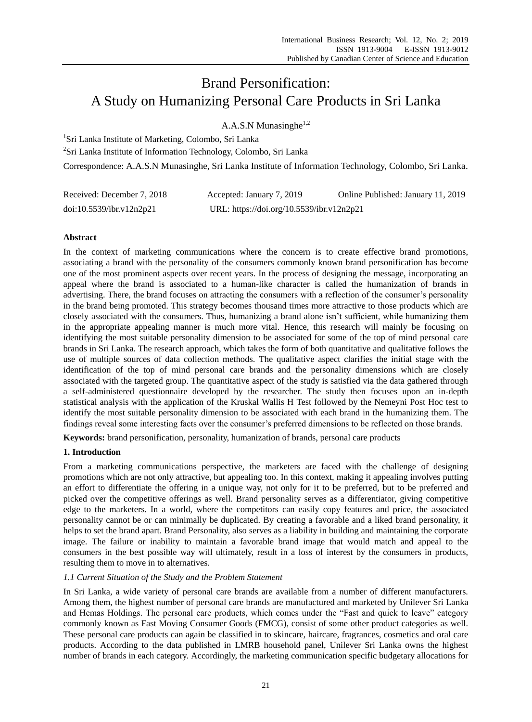# Brand Personification: A Study on Humanizing Personal Care Products in Sri Lanka

A.A.S.N Munasinghe $1,2$ 

<sup>1</sup>Sri Lanka Institute of Marketing, Colombo, Sri Lanka

2 Sri Lanka Institute of Information Technology, Colombo, Sri Lanka

Correspondence: A.A.S.N Munasinghe, Sri Lanka Institute of Information Technology, Colombo, Sri Lanka.

| Received: December 7, 2018 | Accepted: January 7, 2019                 | Online Published: January 11, 2019 |
|----------------------------|-------------------------------------------|------------------------------------|
| doi:10.5539/ibr.v12n2p21   | URL: https://doi.org/10.5539/ibr.v12n2p21 |                                    |

# **Abstract**

In the context of marketing communications where the concern is to create effective brand promotions, associating a brand with the personality of the consumers commonly known brand personification has become one of the most prominent aspects over recent years. In the process of designing the message, incorporating an appeal where the brand is associated to a human-like character is called the humanization of brands in advertising. There, the brand focuses on attracting the consumers with a reflection of the consumer's personality in the brand being promoted. This strategy becomes thousand times more attractive to those products which are closely associated with the consumers. Thus, humanizing a brand alone isn"t sufficient, while humanizing them in the appropriate appealing manner is much more vital. Hence, this research will mainly be focusing on identifying the most suitable personality dimension to be associated for some of the top of mind personal care brands in Sri Lanka. The research approach, which takes the form of both quantitative and qualitative follows the use of multiple sources of data collection methods. The qualitative aspect clarifies the initial stage with the identification of the top of mind personal care brands and the personality dimensions which are closely associated with the targeted group. The quantitative aspect of the study is satisfied via the data gathered through a self-administered questionnaire developed by the researcher. The study then focuses upon an in-depth statistical analysis with the application of the Kruskal Wallis H Test followed by the Nemeyni Post Hoc test to identify the most suitable personality dimension to be associated with each brand in the humanizing them. The findings reveal some interesting facts over the consumer's preferred dimensions to be reflected on those brands.

**Keywords:** brand personification, personality, humanization of brands, personal care products

# **1. Introduction**

From a marketing communications perspective, the marketers are faced with the challenge of designing promotions which are not only attractive, but appealing too. In this context, making it appealing involves putting an effort to differentiate the offering in a unique way, not only for it to be preferred, but to be preferred and picked over the competitive offerings as well. Brand personality serves as a differentiator, giving competitive edge to the marketers. In a world, where the competitors can easily copy features and price, the associated personality cannot be or can minimally be duplicated. By creating a favorable and a liked brand personality, it helps to set the brand apart. Brand Personality, also serves as a liability in building and maintaining the corporate image. The failure or inability to maintain a favorable brand image that would match and appeal to the consumers in the best possible way will ultimately, result in a loss of interest by the consumers in products, resulting them to move in to alternatives.

## *1.1 Current Situation of the Study and the Problem Statement*

In Sri Lanka, a wide variety of personal care brands are available from a number of different manufacturers. Among them, the highest number of personal care brands are manufactured and marketed by Unilever Sri Lanka and Hemas Holdings. The personal care products, which comes under the "Fast and quick to leave" category commonly known as Fast Moving Consumer Goods (FMCG), consist of some other product categories as well. These personal care products can again be classified in to skincare, haircare, fragrances, cosmetics and oral care products. According to the data published in LMRB household panel, Unilever Sri Lanka owns the highest number of brands in each category. Accordingly, the marketing communication specific budgetary allocations for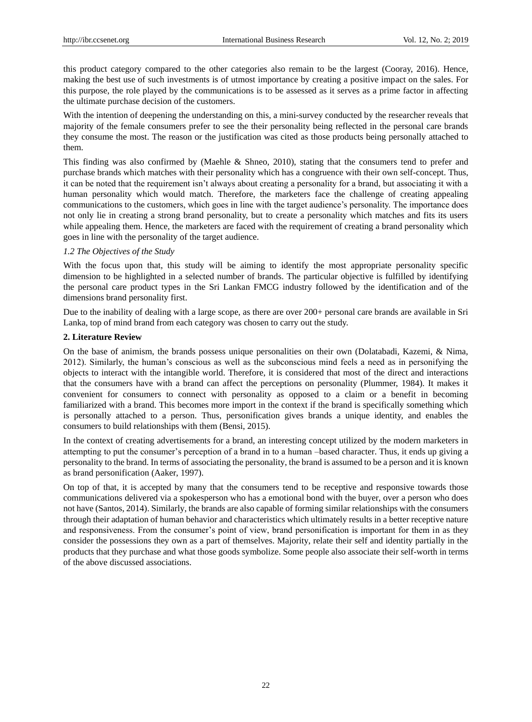this product category compared to the other categories also remain to be the largest (Cooray, 2016). Hence, making the best use of such investments is of utmost importance by creating a positive impact on the sales. For this purpose, the role played by the communications is to be assessed as it serves as a prime factor in affecting the ultimate purchase decision of the customers.

With the intention of deepening the understanding on this, a mini-survey conducted by the researcher reveals that majority of the female consumers prefer to see the their personality being reflected in the personal care brands they consume the most. The reason or the justification was cited as those products being personally attached to them.

This finding was also confirmed by (Maehle & Shneo, 2010), stating that the consumers tend to prefer and purchase brands which matches with their personality which has a congruence with their own self-concept. Thus, it can be noted that the requirement isn"t always about creating a personality for a brand, but associating it with a human personality which would match. Therefore, the marketers face the challenge of creating appealing communications to the customers, which goes in line with the target audience"s personality. The importance does not only lie in creating a strong brand personality, but to create a personality which matches and fits its users while appealing them. Hence, the marketers are faced with the requirement of creating a brand personality which goes in line with the personality of the target audience.

## *1.2 The Objectives of the Study*

With the focus upon that, this study will be aiming to identify the most appropriate personality specific dimension to be highlighted in a selected number of brands. The particular objective is fulfilled by identifying the personal care product types in the Sri Lankan FMCG industry followed by the identification and of the dimensions brand personality first.

Due to the inability of dealing with a large scope, as there are over 200+ personal care brands are available in Sri Lanka, top of mind brand from each category was chosen to carry out the study.

## **2. Literature Review**

On the base of animism, the brands possess unique personalities on their own (Dolatabadi, Kazemi, & Nima, 2012). Similarly, the human"s conscious as well as the subconscious mind feels a need as in personifying the objects to interact with the intangible world. Therefore, it is considered that most of the direct and interactions that the consumers have with a brand can affect the perceptions on personality (Plummer, 1984). It makes it convenient for consumers to connect with personality as opposed to a claim or a benefit in becoming familiarized with a brand. This becomes more import in the context if the brand is specifically something which is personally attached to a person. Thus, personification gives brands a unique identity, and enables the consumers to build relationships with them (Bensi, 2015).

In the context of creating advertisements for a brand, an interesting concept utilized by the modern marketers in attempting to put the consumer"s perception of a brand in to a human –based character. Thus, it ends up giving a personality to the brand. In terms of associating the personality, the brand is assumed to be a person and it is known as brand personification (Aaker, 1997).

On top of that, it is accepted by many that the consumers tend to be receptive and responsive towards those communications delivered via a spokesperson who has a emotional bond with the buyer, over a person who does not have (Santos, 2014). Similarly, the brands are also capable of forming similar relationships with the consumers through their adaptation of human behavior and characteristics which ultimately results in a better receptive nature and responsiveness. From the consumer's point of view, brand personification is important for them in as they consider the possessions they own as a part of themselves. Majority, relate their self and identity partially in the products that they purchase and what those goods symbolize. Some people also associate their self-worth in terms of the above discussed associations.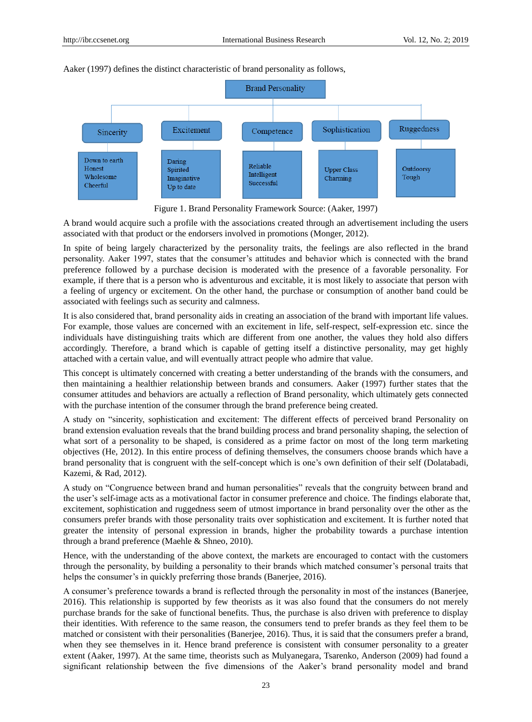



Figure 1. Brand Personality Framework Source: (Aaker, 1997)

A brand would acquire such a profile with the associations created through an advertisement including the users associated with that product or the endorsers involved in promotions (Monger, 2012).

In spite of being largely characterized by the personality traits, the feelings are also reflected in the brand personality. Aaker 1997, states that the consumer"s attitudes and behavior which is connected with the brand preference followed by a purchase decision is moderated with the presence of a favorable personality. For example, if there that is a person who is adventurous and excitable, it is most likely to associate that person with a feeling of urgency or excitement. On the other hand, the purchase or consumption of another band could be associated with feelings such as security and calmness.

It is also considered that, brand personality aids in creating an association of the brand with important life values. For example, those values are concerned with an excitement in life, self-respect, self-expression etc. since the individuals have distinguishing traits which are different from one another, the values they hold also differs accordingly. Therefore, a brand which is capable of getting itself a distinctive personality, may get highly attached with a certain value, and will eventually attract people who admire that value.

This concept is ultimately concerned with creating a better understanding of the brands with the consumers, and then maintaining a healthier relationship between brands and consumers. Aaker (1997) further states that the consumer attitudes and behaviors are actually a reflection of Brand personality, which ultimately gets connected with the purchase intention of the consumer through the brand preference being created.

A study on "sincerity, sophistication and excitement: The different effects of perceived brand Personality on brand extension evaluation reveals that the brand building process and brand personality shaping, the selection of what sort of a personality to be shaped, is considered as a prime factor on most of the long term marketing objectives (He, 2012). In this entire process of defining themselves, the consumers choose brands which have a brand personality that is congruent with the self-concept which is one"s own definition of their self (Dolatabadi, Kazemi, & Rad, 2012).

A study on "Congruence between brand and human personalities" reveals that the congruity between brand and the user"s self-image acts as a motivational factor in consumer preference and choice. The findings elaborate that, excitement, sophistication and ruggedness seem of utmost importance in brand personality over the other as the consumers prefer brands with those personality traits over sophistication and excitement. It is further noted that greater the intensity of personal expression in brands, higher the probability towards a purchase intention through a brand preference (Maehle & Shneo, 2010).

Hence, with the understanding of the above context, the markets are encouraged to contact with the customers through the personality, by building a personality to their brands which matched consumer"s personal traits that helps the consumer's in quickly preferring those brands (Banerjee, 2016).

A consumer"s preference towards a brand is reflected through the personality in most of the instances (Banerjee, 2016). This relationship is supported by few theorists as it was also found that the consumers do not merely purchase brands for the sake of functional benefits. Thus, the purchase is also driven with preference to display their identities. With reference to the same reason, the consumers tend to prefer brands as they feel them to be matched or consistent with their personalities (Banerjee, 2016). Thus, it is said that the consumers prefer a brand, when they see themselves in it. Hence brand preference is consistent with consumer personality to a greater extent (Aaker, 1997). At the same time, theorists such as Mulyanegara, Tsarenko, Anderson (2009) had found a significant relationship between the five dimensions of the Aaker"s brand personality model and brand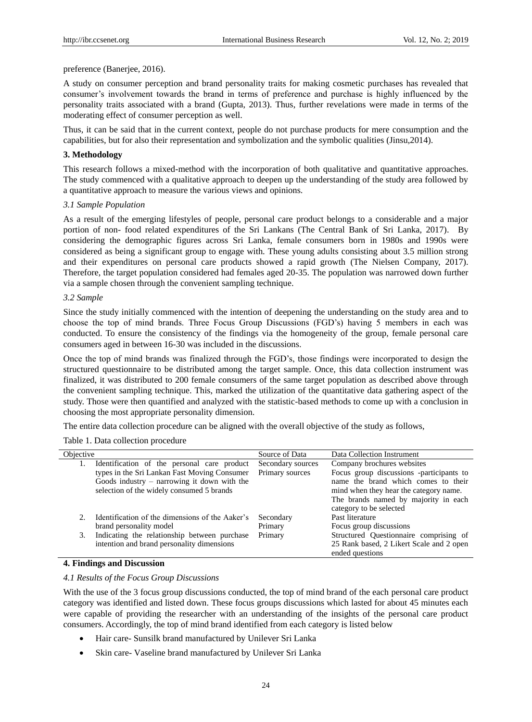#### preference (Banerjee, 2016).

A study on consumer perception and brand personality traits for making cosmetic purchases has revealed that consumer"s involvement towards the brand in terms of preference and purchase is highly influenced by the personality traits associated with a brand (Gupta, 2013). Thus, further revelations were made in terms of the moderating effect of consumer perception as well.

Thus, it can be said that in the current context, people do not purchase products for mere consumption and the capabilities, but for also their representation and symbolization and the symbolic qualities (Jinsu,2014).

## **3. Methodology**

This research follows a mixed-method with the incorporation of both qualitative and quantitative approaches. The study commenced with a qualitative approach to deepen up the understanding of the study area followed by a quantitative approach to measure the various views and opinions.

## *3.1 Sample Population*

As a result of the emerging lifestyles of people, personal care product belongs to a considerable and a major portion of non- food related expenditures of the Sri Lankans (The Central Bank of Sri Lanka, 2017). By considering the demographic figures across Sri Lanka, female consumers born in 1980s and 1990s were considered as being a significant group to engage with. These young adults consisting about 3.5 million strong and their expenditures on personal care products showed a rapid growth (The Nielsen Company, 2017). Therefore, the target population considered had females aged 20-35. The population was narrowed down further via a sample chosen through the convenient sampling technique.

## *3.2 Sample*

Since the study initially commenced with the intention of deepening the understanding on the study area and to choose the top of mind brands. Three Focus Group Discussions (FGD"s) having 5 members in each was conducted. To ensure the consistency of the findings via the homogeneity of the group, female personal care consumers aged in between 16-30 was included in the discussions.

Once the top of mind brands was finalized through the FGD"s, those findings were incorporated to design the structured questionnaire to be distributed among the target sample. Once, this data collection instrument was finalized, it was distributed to 200 female consumers of the same target population as described above through the convenient sampling technique. This, marked the utilization of the quantitative data gathering aspect of the study. Those were then quantified and analyzed with the statistic-based methods to come up with a conclusion in choosing the most appropriate personality dimension.

The entire data collection procedure can be aligned with the overall objective of the study as follows,

Table 1. Data collection procedure

| Objective |                                                 | Source of Data    | Data Collection Instrument                                      |
|-----------|-------------------------------------------------|-------------------|-----------------------------------------------------------------|
|           | Identification of the personal care product     | Secondary sources | Company brochures websites                                      |
|           | types in the Sri Lankan Fast Moving Consumer    | Primary sources   | Focus group discussions -participants to                        |
|           | Goods industry $-$ narrowing it down with the   |                   | name the brand which comes to their                             |
|           | selection of the widely consumed 5 brands       |                   | mind when they hear the category name.                          |
|           |                                                 |                   | The brands named by majority in each<br>category to be selected |
| 2.        | Identification of the dimensions of the Aaker's | Secondary         | Past literature                                                 |
|           | brand personality model                         | Primary           | Focus group discussions                                         |
|           |                                                 |                   |                                                                 |
| 3.        | Indicating the relationship between purchase    | Primary           | Structured Questionnaire comprising of                          |
|           | intention and brand personality dimensions      |                   | 25 Rank based, 2 Likert Scale and 2 open                        |
|           |                                                 |                   | ended questions                                                 |

## **4. Findings and Discussion**

## *4.1 Results of the Focus Group Discussions*

With the use of the 3 focus group discussions conducted, the top of mind brand of the each personal care product category was identified and listed down. These focus groups discussions which lasted for about 45 minutes each were capable of providing the researcher with an understanding of the insights of the personal care product consumers. Accordingly, the top of mind brand identified from each category is listed below

- Hair care- Sunsilk brand manufactured by Unilever Sri Lanka
- Skin care- Vaseline brand manufactured by Unilever Sri Lanka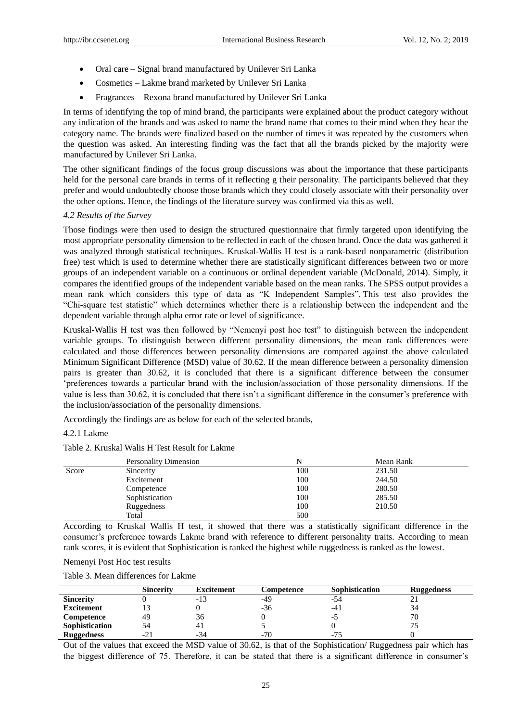- Oral care Signal brand manufactured by Unilever Sri Lanka
- Cosmetics Lakme brand marketed by Unilever Sri Lanka
- Fragrances Rexona brand manufactured by Unilever Sri Lanka

In terms of identifying the top of mind brand, the participants were explained about the product category without any indication of the brands and was asked to name the brand name that comes to their mind when they hear the category name. The brands were finalized based on the number of times it was repeated by the customers when the question was asked. An interesting finding was the fact that all the brands picked by the majority were manufactured by Unilever Sri Lanka.

The other significant findings of the focus group discussions was about the importance that these participants held for the personal care brands in terms of it reflecting g their personality. The participants believed that they prefer and would undoubtedly choose those brands which they could closely associate with their personality over the other options. Hence, the findings of the literature survey was confirmed via this as well.

#### *4.2 Results of the Survey*

Those findings were then used to design the structured questionnaire that firmly targeted upon identifying the most appropriate personality dimension to be reflected in each of the chosen brand. Once the data was gathered it was analyzed through statistical techniques. Kruskal-Wallis H test is a rank-based nonparametric (distribution free) test which is used to determine whether there are statistically significant differences between two or more groups of an independent variable on a continuous or ordinal dependent variable (McDonald, 2014). Simply, it compares the identified groups of the independent variable based on the mean ranks. The SPSS output provides a mean rank which considers this type of data as "K Independent Samples". This test also provides the "Chi-square test statistic" which determines whether there is a relationship between the independent and the dependent variable through alpha error rate or level of significance.

Kruskal-Wallis H test was then followed by "Nemenyi post hoc test" to distinguish between the independent variable groups. To distinguish between different personality dimensions, the mean rank differences were calculated and those differences between personality dimensions are compared against the above calculated Minimum Significant Difference (MSD) value of 30.62. If the mean difference between a personality dimension pairs is greater than 30.62, it is concluded that there is a significant difference between the consumer "preferences towards a particular brand with the inclusion/association of those personality dimensions. If the value is less than 30.62, it is concluded that there isn"t a significant difference in the consumer"s preference with the inclusion/association of the personality dimensions.

Accordingly the findings are as below for each of the selected brands,

#### 4.2.1 Lakme

|--|

|       | <b>Personality Dimension</b> |     | Mean Rank |
|-------|------------------------------|-----|-----------|
| Score | Sincerity                    | 100 | 231.50    |
|       | Excitement                   | 100 | 244.50    |
|       | Competence                   | 100 | 280.50    |
|       | Sophistication               | 100 | 285.50    |
|       | Ruggedness                   | 100 | 210.50    |
|       | Total                        | 500 |           |

According to Kruskal Wallis H test, it showed that there was a statistically significant difference in the consumer"s preference towards Lakme brand with reference to different personality traits. According to mean rank scores, it is evident that Sophistication is ranked the highest while ruggedness is ranked as the lowest.

| Nemenyi Post Hoc test results |  |  |
|-------------------------------|--|--|
|                               |  |  |

|                   | <b>Sincerity</b> | Excitement | Competence | Sophistication | <b>Ruggedness</b> |
|-------------------|------------------|------------|------------|----------------|-------------------|
| <b>Sincerity</b>  |                  | $-13$      | -49        | -54            |                   |
| <b>Excitement</b> |                  |            | $-36$      | $-41$          | 34                |
| Competence        | 49               | 36         |            | - 1            | 70                |
| Sophistication    | 54               | 41         |            |                |                   |
| <b>Ruggedness</b> | -21              | $-34$      | $-70$      | -75            |                   |

Out of the values that exceed the MSD value of 30.62, is that of the Sophistication/ Ruggedness pair which has the biggest difference of 75. Therefore, it can be stated that there is a significant difference in consumer"s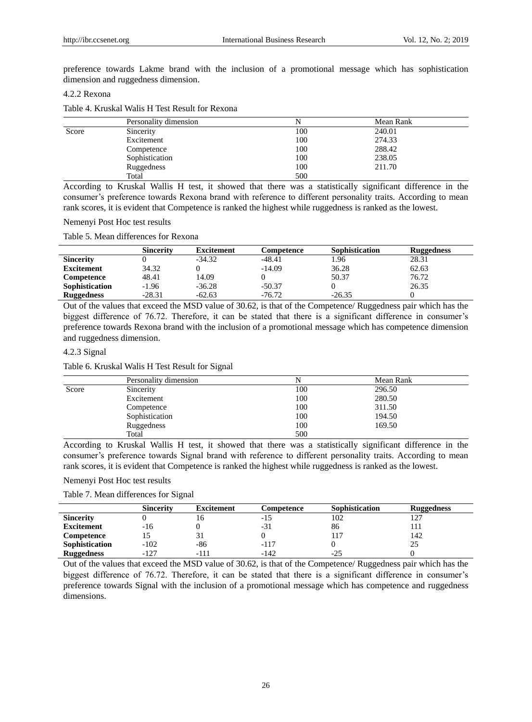preference towards Lakme brand with the inclusion of a promotional message which has sophistication dimension and ruggedness dimension.

## 4.2.2 Rexona

#### Table 4. Kruskal Walis H Test Result for Rexona

|       | Personality dimension |     | Mean Rank |
|-------|-----------------------|-----|-----------|
| Score | Sincerity             | 100 | 240.01    |
|       | Excitement            | 100 | 274.33    |
|       | Competence            | 100 | 288.42    |
|       | Sophistication        | 100 | 238.05    |
|       | Ruggedness            | 100 | 211.70    |
|       | Total                 | 500 |           |

According to Kruskal Wallis H test, it showed that there was a statistically significant difference in the consumer"s preference towards Rexona brand with reference to different personality traits. According to mean rank scores, it is evident that Competence is ranked the highest while ruggedness is ranked as the lowest.

#### Nemenyi Post Hoc test results

## Table 5. Mean differences for Rexona

|                   | <b>Sincerity</b> | <b>Excitement</b> | Competence | <b>Sophistication</b> | <b>Ruggedness</b> |
|-------------------|------------------|-------------------|------------|-----------------------|-------------------|
| <b>Sincerity</b>  |                  | $-34.32$          | $-48.41$   | 1.96                  | 28.31             |
| <b>Excitement</b> | 34.32            |                   | $-14.09$   | 36.28                 | 62.63             |
| Competence        | 48.41            | 14.09             |            | 50.37                 | 76.72             |
| Sophistication    | $-1.96$          | $-36.28$          | $-50.37$   |                       | 26.35             |
| <b>Ruggedness</b> | $-28.31$         | $-62.63$          | $-76.72$   | $-26.35$              |                   |

Out of the values that exceed the MSD value of 30.62, is that of the Competence/ Ruggedness pair which has the biggest difference of 76.72. Therefore, it can be stated that there is a significant difference in consumer's preference towards Rexona brand with the inclusion of a promotional message which has competence dimension and ruggedness dimension.

#### 4.2.3 Signal

## Table 6. Kruskal Walis H Test Result for Signal

|       | Personality dimension |     | Mean Rank |
|-------|-----------------------|-----|-----------|
| Score | Sincerity             | 100 | 296.50    |
|       | Excitement            | 100 | 280.50    |
|       | Competence            | 100 | 311.50    |
|       | Sophistication        | 100 | 194.50    |
|       | Ruggedness            | 100 | 169.50    |
|       | Total                 | 500 |           |

According to Kruskal Wallis H test, it showed that there was a statistically significant difference in the consumer"s preference towards Signal brand with reference to different personality traits. According to mean rank scores, it is evident that Competence is ranked the highest while ruggedness is ranked as the lowest.

## Nemenyi Post Hoc test results

Table 7. Mean differences for Signal

|                   | <b>Sincerity</b> | <b>Excitement</b> | Competence | Sophistication | <b>Ruggedness</b> |
|-------------------|------------------|-------------------|------------|----------------|-------------------|
| <b>Sincerity</b>  |                  | 10                |            | 102            | 127               |
| <b>Excitement</b> | -16              |                   | $-31$      | 86             |                   |
| Competence        |                  |                   |            |                | 142               |
| Sophistication    | $-102$           | -86               | $-117$     |                | 25                |
| <b>Ruggedness</b> | $-127$           | -111              | -142       | -25            |                   |

Out of the values that exceed the MSD value of 30.62, is that of the Competence/ Ruggedness pair which has the biggest difference of 76.72. Therefore, it can be stated that there is a significant difference in consumer's preference towards Signal with the inclusion of a promotional message which has competence and ruggedness dimensions.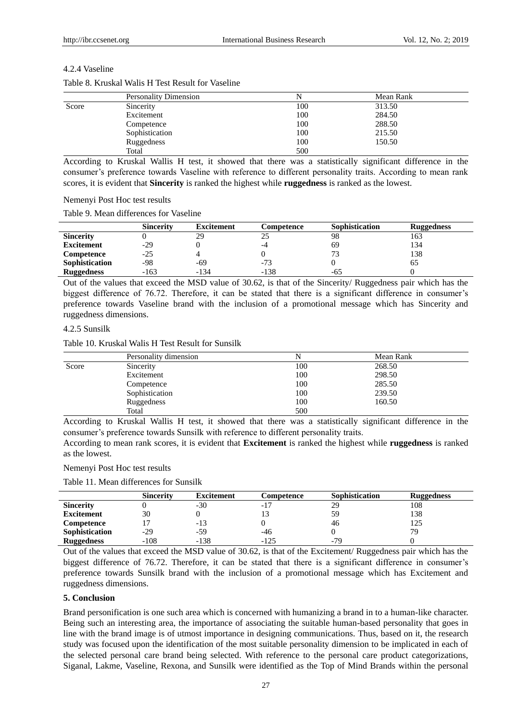## 4.2.4 Vaseline

|       | <b>Personality Dimension</b> |     | Mean Rank |
|-------|------------------------------|-----|-----------|
| Score | Sincerity                    | 100 | 313.50    |
|       | Excitement                   | 100 | 284.50    |
|       | Competence                   | 100 | 288.50    |
|       | Sophistication               | 100 | 215.50    |
|       | Ruggedness                   | 100 | 150.50    |
|       | Total                        | 500 |           |

## Table 8. Kruskal Walis H Test Result for Vaseline

According to Kruskal Wallis H test, it showed that there was a statistically significant difference in the consumer"s preference towards Vaseline with reference to different personality traits. According to mean rank scores, it is evident that **Sincerity** is ranked the highest while **ruggedness** is ranked as the lowest.

## Nemenyi Post Hoc test results

Table 9. Mean differences for Vaseline

|                   | <b>Sincerity</b> | <b>Excitement</b> | Competence | <b>Sophistication</b> | <b>Ruggedness</b> |
|-------------------|------------------|-------------------|------------|-----------------------|-------------------|
| <b>Sincerity</b>  |                  | 29                |            | 98                    | 163               |
| <b>Excitement</b> | $-29$            |                   | -4         | 69                    | 134               |
| Competence        | $-25$            |                   |            |                       | 138               |
| Sophistication    | -98              | -69               | $-73$      |                       | ნა                |
| <b>Ruggedness</b> | $-163$           | $-134$            | $-138$     | -65                   |                   |

Out of the values that exceed the MSD value of 30.62, is that of the Sincerity/ Ruggedness pair which has the biggest difference of 76.72. Therefore, it can be stated that there is a significant difference in consumer's preference towards Vaseline brand with the inclusion of a promotional message which has Sincerity and ruggedness dimensions.

## 4.2.5 Sunsilk

Table 10. Kruskal Walis H Test Result for Sunsilk

|       | Personality dimension | N   | Mean Rank |  |
|-------|-----------------------|-----|-----------|--|
| Score | Sincerity             | 100 | 268.50    |  |
|       | Excitement            | 100 | 298.50    |  |
|       | Competence            | 100 | 285.50    |  |
|       | Sophistication        | 100 | 239.50    |  |
|       | Ruggedness            | 100 | 160.50    |  |
|       | Total                 | 500 |           |  |

According to Kruskal Wallis H test, it showed that there was a statistically significant difference in the consumer"s preference towards Sunsilk with reference to different personality traits.

According to mean rank scores, it is evident that **Excitement** is ranked the highest while **ruggedness** is ranked as the lowest.

Nemenyi Post Hoc test results

Table 11. Mean differences for Sunsilk

|                   | <b>Sincerity</b> | <b>Excitement</b> | Competence | Sophistication | <b>Ruggedness</b> |
|-------------------|------------------|-------------------|------------|----------------|-------------------|
| <b>Sincerity</b>  |                  | -30               | $-1$ .     | 29             | 108               |
| <b>Excitement</b> | 30               |                   |            | 59             | 138               |
| Competence        |                  | -13               |            | 46             | 125               |
| Sophistication    | $-29$            | $-59$             | -46        |                | 79                |
| <b>Ruggedness</b> | $-108$           | $-138$            | $-125$     | $-79$          |                   |

Out of the values that exceed the MSD value of 30.62, is that of the Excitement/ Ruggedness pair which has the biggest difference of 76.72. Therefore, it can be stated that there is a significant difference in consumer's preference towards Sunsilk brand with the inclusion of a promotional message which has Excitement and ruggedness dimensions.

# **5. Conclusion**

Brand personification is one such area which is concerned with humanizing a brand in to a human-like character. Being such an interesting area, the importance of associating the suitable human-based personality that goes in line with the brand image is of utmost importance in designing communications. Thus, based on it, the research study was focused upon the identification of the most suitable personality dimension to be implicated in each of the selected personal care brand being selected. With reference to the personal care product categorizations, Siganal, Lakme, Vaseline, Rexona, and Sunsilk were identified as the Top of Mind Brands within the personal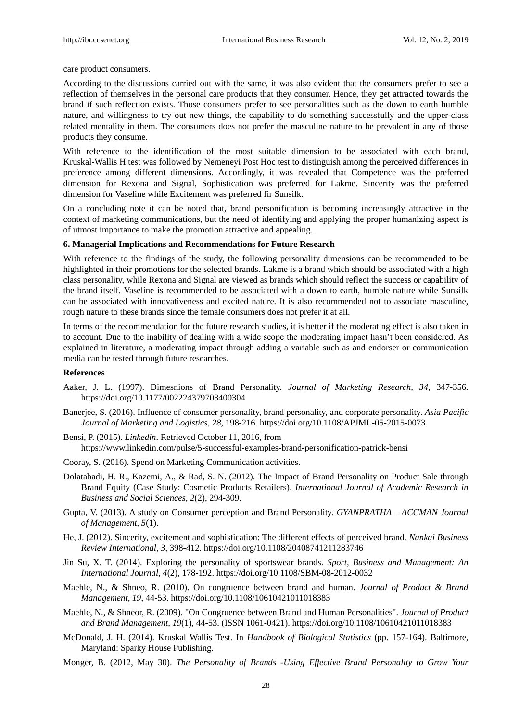care product consumers.

According to the discussions carried out with the same, it was also evident that the consumers prefer to see a reflection of themselves in the personal care products that they consumer. Hence, they get attracted towards the brand if such reflection exists. Those consumers prefer to see personalities such as the down to earth humble nature, and willingness to try out new things, the capability to do something successfully and the upper-class related mentality in them. The consumers does not prefer the masculine nature to be prevalent in any of those products they consume.

With reference to the identification of the most suitable dimension to be associated with each brand, Kruskal-Wallis H test was followed by Nemeneyi Post Hoc test to distinguish among the perceived differences in preference among different dimensions. Accordingly, it was revealed that Competence was the preferred dimension for Rexona and Signal, Sophistication was preferred for Lakme. Sincerity was the preferred dimension for Vaseline while Excitement was preferred fir Sunsilk.

On a concluding note it can be noted that, brand personification is becoming increasingly attractive in the context of marketing communications, but the need of identifying and applying the proper humanizing aspect is of utmost importance to make the promotion attractive and appealing.

#### **6. Managerial Implications and Recommendations for Future Research**

With reference to the findings of the study, the following personality dimensions can be recommended to be highlighted in their promotions for the selected brands. Lakme is a brand which should be associated with a high class personality, while Rexona and Signal are viewed as brands which should reflect the success or capability of the brand itself. Vaseline is recommended to be associated with a down to earth, humble nature while Sunsilk can be associated with innovativeness and excited nature. It is also recommended not to associate masculine, rough nature to these brands since the female consumers does not prefer it at all.

In terms of the recommendation for the future research studies, it is better if the moderating effect is also taken in to account. Due to the inability of dealing with a wide scope the moderating impact hasn"t been considered. As explained in literature, a moderating impact through adding a variable such as and endorser or communication media can be tested through future researches.

#### **References**

- Aaker, J. L. (1997). Dimesnions of Brand Personality. *Journal of Marketing Research, 34*, 347-356. https://doi.org/10.1177/002224379703400304
- Banerjee, S. (2016). Influence of consumer personality, brand personality, and corporate personality. *Asia Pacific Journal of Marketing and Logistics, 28*, 198-216. https://doi.org/10.1108/APJML-05-2015-0073
- Bensi, P. (2015). *Linkedin*. Retrieved October 11, 2016, from https://www.linkedin.com/pulse/5-successful-examples-brand-personification-patrick-bensi
- Cooray, S. (2016). Spend on Marketing Communication activities.
- Dolatabadi, H. R., Kazemi, A., & Rad, S. N. (2012). The Impact of Brand Personality on Product Sale through Brand Equity (Case Study: Cosmetic Products Retailers). *International Journal of Academic Research in Business and Social Sciences, 2*(2), 294-309.
- Gupta, V. (2013). A study on Consumer perception and Brand Personality. *GYANPRATHA – ACCMAN Journal of Management, 5*(1).
- He, J. (2012). Sincerity, excitement and sophistication: The different effects of perceived brand. *Nankai Business Review International, 3*, 398-412. https://doi.org/10.1108/20408741211283746
- Jin Su, X. T. (2014). Exploring the personality of sportswear brands. *Sport, Business and Management: An International Journal, 4*(2), 178-192. https://doi.org/10.1108/SBM-08-2012-0032
- Maehle, N., & Shneo, R. (2010). On congruence between brand and human. *Journal of Product & Brand Management, 19*, 44-53. https://doi.org/10.1108/10610421011018383
- Maehle, N., & Shneor, R. (2009). "On Congruence between Brand and Human Personalities". *Journal of Product and Brand Management, 19*(1), 44-53. (ISSN 1061-0421). https://doi.org/10.1108/10610421011018383
- McDonald, J. H. (2014). Kruskal Wallis Test. In *Handbook of Biological Statistics* (pp. 157-164). Baltimore, Maryland: Sparky House Publishing.
- Monger, B. (2012, May 30). *The Personality of Brands -Using Effective Brand Personality to Grow Your*